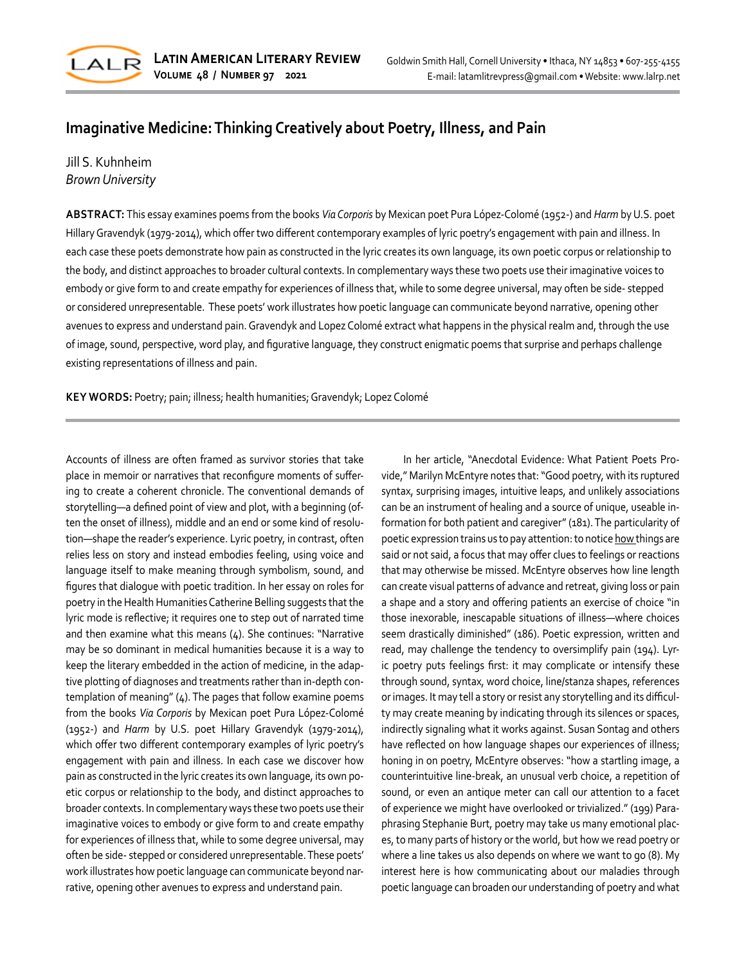

# **Imaginative Medicine: Thinking Creatively about Poetry, Illness, and Pain**

# Jill S. Kuhnheim *Brown University*

**ABSTRACT:** This essay examines poems from the books *Via Corporis* by Mexican poet Pura López-Colomé (1952-) and *Harm* by U.S. poet Hillary Gravendyk (1979-2014), which offer two different contemporary examples of lyric poetry's engagement with pain and illness. In each case these poets demonstrate how pain as constructed in the lyric creates its own language, its own poetic corpus or relationship to the body, and distinct approaches to broader cultural contexts. In complementary ways these two poets use their imaginative voices to embody or give form to and create empathy for experiences of illness that, while to some degree universal, may often be side- stepped or considered unrepresentable. These poets' work illustrates how poetic language can communicate beyond narrative, opening other avenues to express and understand pain. Gravendyk and Lopez Colomé extract what happens in the physical realm and, through the use of image, sound, perspective, word play, and figurative language, they construct enigmatic poems that surprise and perhaps challenge existing representations of illness and pain.

**KEY WORDS:** Poetry; pain; illness; health humanities; Gravendyk; Lopez Colomé

Accounts of illness are often framed as survivor stories that take place in memoir or narratives that reconfigure moments of suffering to create a coherent chronicle. The conventional demands of storytelling—a defined point of view and plot, with a beginning (often the onset of illness), middle and an end or some kind of resolution—shape the reader's experience. Lyric poetry, in contrast, often relies less on story and instead embodies feeling, using voice and language itself to make meaning through symbolism, sound, and figures that dialogue with poetic tradition. In her essay on roles for poetry in the Health Humanities Catherine Belling suggests that the lyric mode is reflective; it requires one to step out of narrated time and then examine what this means (4). She continues: "Narrative may be so dominant in medical humanities because it is a way to keep the literary embedded in the action of medicine, in the adaptive plotting of diagnoses and treatments rather than in-depth contemplation of meaning" (4). The pages that follow examine poems from the books *Via Corporis* by Mexican poet Pura López-Colomé (1952-) and *Harm* by U.S. poet Hillary Gravendyk (1979-2014), which offer two different contemporary examples of lyric poetry's engagement with pain and illness. In each case we discover how pain as constructed in the lyric creates its own language, its own poetic corpus or relationship to the body, and distinct approaches to broader contexts. In complementary ways these two poets use their imaginative voices to embody or give form to and create empathy for experiences of illness that, while to some degree universal, may often be side- stepped or considered unrepresentable. These poets' work illustrates how poetic language can communicate beyond narrative, opening other avenues to express and understand pain.

In her article, "Anecdotal Evidence: What Patient Poets Provide," Marilyn McEntyre notes that: "Good poetry, with its ruptured syntax, surprising images, intuitive leaps, and unlikely associations can be an instrument of healing and a source of unique, useable information for both patient and caregiver" (181). The particularity of poetic expression trains us to pay attention: to notice how things are said or not said, a focus that may offer clues to feelings or reactions that may otherwise be missed. McEntyre observes how line length can create visual patterns of advance and retreat, giving loss or pain a shape and a story and offering patients an exercise of choice "in those inexorable, inescapable situations of illness—where choices seem drastically diminished" (186). Poetic expression, written and read, may challenge the tendency to oversimplify pain (194). Lyric poetry puts feelings first: it may complicate or intensify these through sound, syntax, word choice, line/stanza shapes, references or images. It may tell a story or resist any storytelling and its difficulty may create meaning by indicating through its silences or spaces, indirectly signaling what it works against. Susan Sontag and others have reflected on how language shapes our experiences of illness; honing in on poetry, McEntyre observes: "how a startling image, a counterintuitive line-break, an unusual verb choice, a repetition of sound, or even an antique meter can call our attention to a facet of experience we might have overlooked or trivialized." (199) Paraphrasing Stephanie Burt, poetry may take us many emotional places, to many parts of history or the world, but how we read poetry or where a line takes us also depends on where we want to go (8). My interest here is how communicating about our maladies through poetic language can broaden our understanding of poetry and what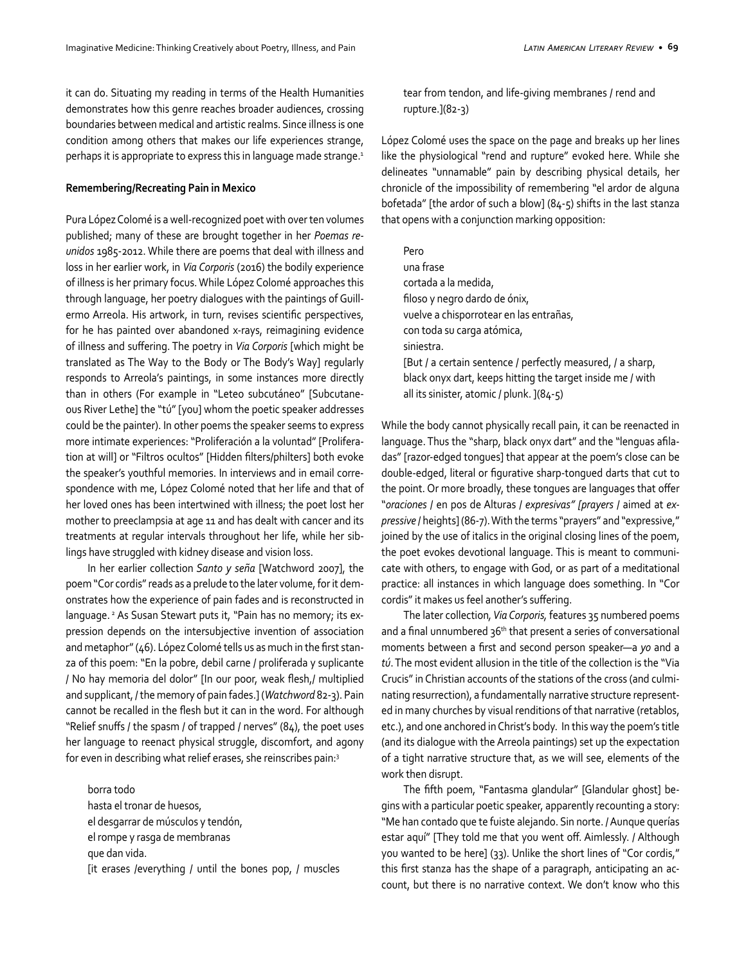it can do. Situating my reading in terms of the Health Humanities demonstrates how this genre reaches broader audiences, crossing boundaries between medical and artistic realms. Since illness is one condition among others that makes our life experiences strange, perhaps it is appropriate to express this in language made strange.<sup>1</sup>

### **Remembering/Recreating Pain in Mexico**

Pura López Colomé is a well-recognized poet with over ten volumes published; many of these are brought together in her *Poemas reunidos* 1985-2012. While there are poems that deal with illness and loss in her earlier work, in *Via Corporis* (2016) the bodily experience of illness is her primary focus. While López Colomé approaches this through language, her poetry dialogues with the paintings of Guillermo Arreola. His artwork, in turn, revises scientific perspectives, for he has painted over abandoned x-rays, reimagining evidence of illness and suffering. The poetry in *Via Corporis* [which might be translated as The Way to the Body or The Body's Way] regularly responds to Arreola's paintings, in some instances more directly than in others (For example in "Leteo subcutáneo" [Subcutaneous River Lethe] the "tú" [you] whom the poetic speaker addresses could be the painter). In other poems the speaker seems to express more intimate experiences: "Proliferación a la voluntad" [Proliferation at will] or "Filtros ocultos" [Hidden filters/philters] both evoke the speaker's youthful memories. In interviews and in email correspondence with me, López Colomé noted that her life and that of her loved ones has been intertwined with illness; the poet lost her mother to preeclampsia at age 11 and has dealt with cancer and its treatments at regular intervals throughout her life, while her siblings have struggled with kidney disease and vision loss.

In her earlier collection *Santo y seña* [Watchword 2007], the poem "Cor cordis" reads as a prelude to the later volume, for it demonstrates how the experience of pain fades and is reconstructed in language.<sup>2</sup> As Susan Stewart puts it, "Pain has no memory; its expression depends on the intersubjective invention of association and metaphor" (46). López Colomé tells us as much in the first stanza of this poem: "En la pobre, debil carne / proliferada y suplicante / No hay memoria del dolor" [In our poor, weak flesh,/ multiplied and supplicant, / the memory of pain fades.] (*Watchword* 82-3). Pain cannot be recalled in the flesh but it can in the word. For although "Relief snuffs / the spasm / of trapped / nerves" (84), the poet uses her language to reenact physical struggle, discomfort, and agony for even in describing what relief erases, she reinscribes pain:3

borra todo hasta el tronar de huesos, el desgarrar de músculos y tendón, el rompe y rasga de membranas que dan vida. [it erases /everything / until the bones pop, / muscles tear from tendon, and life-giving membranes / rend and rupture.](82-3)

López Colomé uses the space on the page and breaks up her lines like the physiological "rend and rupture" evoked here. While she delineates "unnamable" pain by describing physical details, her chronicle of the impossibility of remembering "el ardor de alguna bofetada" [the ardor of such a blow] (84-5) shifts in the last stanza that opens with a conjunction marking opposition:

Pero una frase cortada a la medida, filoso y negro dardo de ónix, vuelve a chisporrotear en las entrañas, con toda su carga atómica, siniestra. [But / a certain sentence / perfectly measured, / a sharp, black onyx dart, keeps hitting the target inside me / with all its sinister, atomic / plunk. ](84-5)

While the body cannot physically recall pain, it can be reenacted in language. Thus the "sharp, black onyx dart" and the "lenguas afiladas" [razor-edged tongues] that appear at the poem's close can be double-edged, literal or figurative sharp-tongued darts that cut to the point. Or more broadly, these tongues are languages that offer "*oraciones* / en pos de Alturas / *expresivas" [prayers* / aimed at *expressive* / heights] (86-7). With the terms "prayers" and "expressive," joined by the use of italics in the original closing lines of the poem, the poet evokes devotional language. This is meant to communicate with others, to engage with God, or as part of a meditational practice: all instances in which language does something. In "Cor cordis" it makes us feel another's suffering.

The later collection*, Via Corporis,* features 35 numbered poems and a final unnumbered  $36<sup>th</sup>$  that present a series of conversational moments between a first and second person speaker—a *yo* and a *tú*. The most evident allusion in the title of the collection is the "Via Crucis" in Christian accounts of the stations of the cross (and culminating resurrection), a fundamentally narrative structure represented in many churches by visual renditions of that narrative (retablos, etc.), and one anchored in Christ's body. In this way the poem's title (and its dialogue with the Arreola paintings) set up the expectation of a tight narrative structure that, as we will see, elements of the work then disrupt.

The fifth poem, "Fantasma glandular" [Glandular ghost] begins with a particular poetic speaker, apparently recounting a story: "Me han contado que te fuiste alejando. Sin norte. / Aunque querías estar aquí" [They told me that you went off. Aimlessly. / Although you wanted to be here] (33). Unlike the short lines of "Cor cordis," this first stanza has the shape of a paragraph, anticipating an account, but there is no narrative context. We don't know who this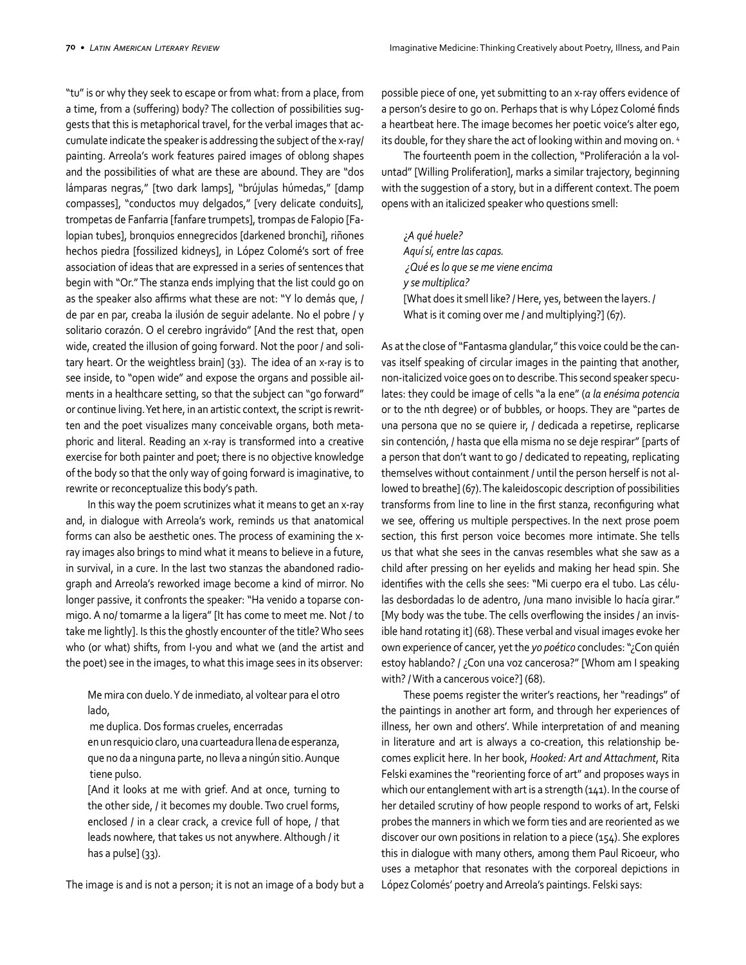"tu" is or why they seek to escape or from what: from a place, from a time, from a (suffering) body? The collection of possibilities suggests that this is metaphorical travel, for the verbal images that accumulate indicate the speaker is addressing the subject of the x-ray/ painting. Arreola's work features paired images of oblong shapes and the possibilities of what are these are abound. They are "dos lámparas negras," [two dark lamps], "brújulas húmedas," [damp compasses], "conductos muy delgados," [very delicate conduits], trompetas de Fanfarria [fanfare trumpets], trompas de Falopio [Falopian tubes], bronquios ennegrecidos [darkened bronchi], riñones hechos piedra [fossilized kidneys], in López Colomé's sort of free association of ideas that are expressed in a series of sentences that begin with "Or." The stanza ends implying that the list could go on as the speaker also affirms what these are not: "Y lo demás que, / de par en par, creaba la ilusión de seguir adelante. No el pobre / y solitario corazón. O el cerebro ingrávido" [And the rest that, open wide, created the illusion of going forward. Not the poor / and solitary heart. Or the weightless brain] (33). The idea of an x-ray is to see inside, to "open wide" and expose the organs and possible ailments in a healthcare setting, so that the subject can "go forward" or continue living. Yet here, in an artistic context, the script is rewritten and the poet visualizes many conceivable organs, both metaphoric and literal. Reading an x-ray is transformed into a creative exercise for both painter and poet; there is no objective knowledge of the body so that the only way of going forward is imaginative, to rewrite or reconceptualize this body's path.

In this way the poem scrutinizes what it means to get an x-ray and, in dialogue with Arreola's work, reminds us that anatomical forms can also be aesthetic ones. The process of examining the xray images also brings to mind what it means to believe in a future, in survival, in a cure. In the last two stanzas the abandoned radiograph and Arreola's reworked image become a kind of mirror. No longer passive, it confronts the speaker: "Ha venido a toparse conmigo. A no/ tomarme a la ligera" [It has come to meet me. Not / to take me lightly]. Is this the ghostly encounter of the title? Who sees who (or what) shifts, from I-you and what we (and the artist and the poet) see in the images, to what this image sees in its observer:

Me mira con duelo. Y de inmediato, al voltear para el otro lado,

me duplica. Dos formas crueles, encerradas

en un resquicio claro, una cuarteadura llena de esperanza, que no da a ninguna parte, no lleva a ningún sitio. Aunque tiene pulso.

[And it looks at me with grief. And at once, turning to the other side, / it becomes my double. Two cruel forms, enclosed / in a clear crack, a crevice full of hope, / that leads nowhere, that takes us not anywhere. Although / it has a pulse] (33).

The image is and is not a person; it is not an image of a body but a

possible piece of one, yet submitting to an x-ray offers evidence of a person's desire to go on. Perhaps that is why López Colomé finds a heartbeat here. The image becomes her poetic voice's alter ego, its double, for they share the act of looking within and moving on. 4

The fourteenth poem in the collection, "Proliferación a la voluntad" [Willing Proliferation], marks a similar trajectory, beginning with the suggestion of a story, but in a different context. The poem opens with an italicized speaker who questions smell:

¿*A qué huele? Aquí sí, entre las capas. ¿Qué es lo que se me viene encima y se multiplica?* [What does it smell like? / Here, yes, between the layers. / What is it coming over me / and multiplying?] (67).

As at the close of "Fantasma glandular," this voice could be the canvas itself speaking of circular images in the painting that another, non-italicized voice goes on to describe. This second speaker speculates: they could be image of cells "a la ene" (*a la enésima potencia* or to the nth degree) or of bubbles, or hoops. They are "partes de una persona que no se quiere ir, / dedicada a repetirse, replicarse sin contención, / hasta que ella misma no se deje respirar" [parts of a person that don't want to go / dedicated to repeating, replicating themselves without containment / until the person herself is not allowed to breathe] (67). The kaleidoscopic description of possibilities transforms from line to line in the first stanza, reconfiguring what we see, offering us multiple perspectives. In the next prose poem section, this first person voice becomes more intimate. She tells us that what she sees in the canvas resembles what she saw as a child after pressing on her eyelids and making her head spin. She identifies with the cells she sees: "Mi cuerpo era el tubo. Las células desbordadas lo de adentro, /una mano invisible lo hacía girar." [My body was the tube. The cells overflowing the insides / an invisible hand rotating it] (68). These verbal and visual images evoke her own experience of cancer, yet the *yo poético* concludes: "¿Con quién estoy hablando? / ¿Con una voz cancerosa?" [Whom am I speaking with? / With a cancerous voice?] (68).

These poems register the writer's reactions, her "readings" of the paintings in another art form, and through her experiences of illness, her own and others'. While interpretation of and meaning in literature and art is always a co-creation, this relationship becomes explicit here. In her book, *Hooked: Art and Attachment*, Rita Felski examines the "reorienting force of art" and proposes ways in which our entanglement with art is a strength (141). In the course of her detailed scrutiny of how people respond to works of art, Felski probes the manners in which we form ties and are reoriented as we discover our own positions in relation to a piece (154). She explores this in dialogue with many others, among them Paul Ricoeur, who uses a metaphor that resonates with the corporeal depictions in López Colomés' poetry and Arreola's paintings. Felski says: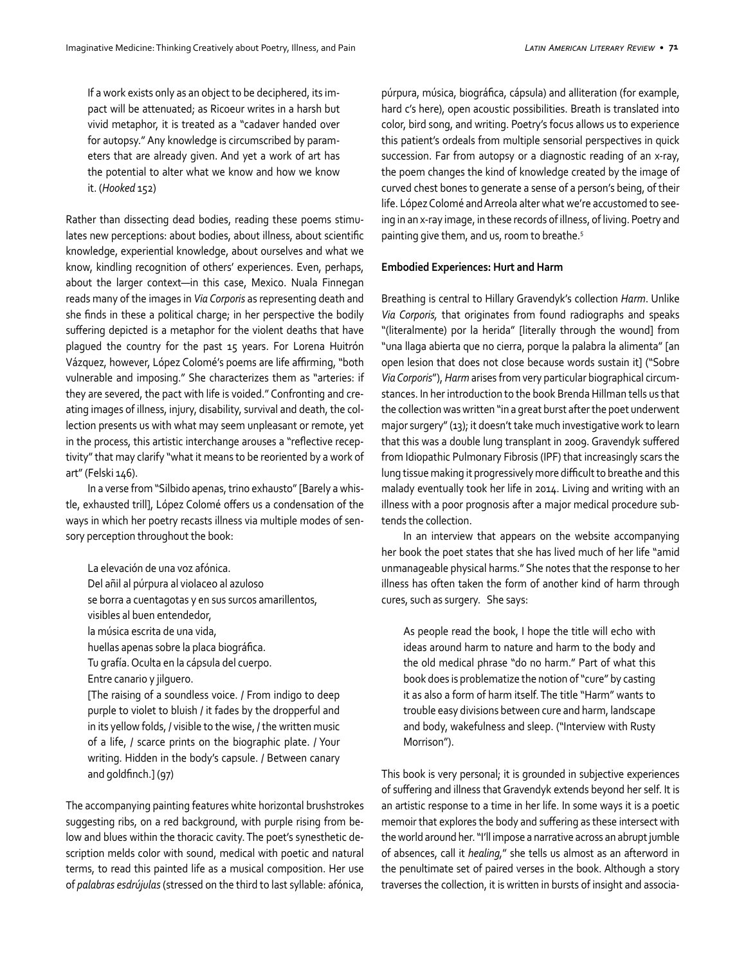If a work exists only as an object to be deciphered, its impact will be attenuated; as Ricoeur writes in a harsh but vivid metaphor, it is treated as a "cadaver handed over for autopsy." Any knowledge is circumscribed by parameters that are already given. And yet a work of art has the potential to alter what we know and how we know it. (*Hooked* 152)

Rather than dissecting dead bodies, reading these poems stimulates new perceptions: about bodies, about illness, about scientific knowledge, experiential knowledge, about ourselves and what we know, kindling recognition of others' experiences. Even, perhaps, about the larger context—in this case, Mexico. Nuala Finnegan reads many of the images in *Via Corporis* as representing death and she finds in these a political charge; in her perspective the bodily suffering depicted is a metaphor for the violent deaths that have plagued the country for the past 15 years. For Lorena Huitrón Vázquez, however, López Colomé's poems are life affirming, "both vulnerable and imposing." She characterizes them as "arteries: if they are severed, the pact with life is voided." Confronting and creating images of illness, injury, disability, survival and death, the collection presents us with what may seem unpleasant or remote, yet in the process, this artistic interchange arouses a "reflective receptivity" that may clarify "what it means to be reoriented by a work of art" (Felski 146).

In a verse from "Silbido apenas, trino exhausto" [Barely a whistle, exhausted trill], López Colomé offers us a condensation of the ways in which her poetry recasts illness via multiple modes of sensory perception throughout the book:

La elevación de una voz afónica. Del añil al púrpura al violaceo al azuloso se borra a cuentagotas y en sus surcos amarillentos, visibles al buen entendedor, la música escrita de una vida, huellas apenas sobre la placa biográfica. Tu grafía. Oculta en la cápsula del cuerpo. Entre canario y jilguero. [The raising of a soundless voice. / From indigo to deep purple to violet to bluish / it fades by the dropperful and in its yellow folds, / visible to the wise, / the written music of a life, / scarce prints on the biographic plate. / Your writing. Hidden in the body's capsule. / Between canary and goldfinch.] (97)

The accompanying painting features white horizontal brushstrokes suggesting ribs, on a red background, with purple rising from below and blues within the thoracic cavity. The poet's synesthetic description melds color with sound, medical with poetic and natural terms, to read this painted life as a musical composition. Her use of *palabras esdrújulas* (stressed on the third to last syllable: afónica,

púrpura, música, biográfica, cápsula) and alliteration (for example, hard c's here), open acoustic possibilities. Breath is translated into color, bird song, and writing. Poetry's focus allows us to experience this patient's ordeals from multiple sensorial perspectives in quick succession. Far from autopsy or a diagnostic reading of an x-ray, the poem changes the kind of knowledge created by the image of curved chest bones to generate a sense of a person's being, of their life. López Colomé and Arreola alter what we're accustomed to seeing in an x-ray image, in these records of illness, of living. Poetry and painting give them, and us, room to breathe.<sup>5</sup>

#### **Embodied Experiences: Hurt and Harm**

Breathing is central to Hillary Gravendyk's collection *Harm*. Unlike *Via Corporis,* that originates from found radiographs and speaks "(literalmente) por la herida" [literally through the wound] from "una llaga abierta que no cierra, porque la palabra la alimenta" [an open lesion that does not close because words sustain it] ("Sobre *Via Corporis*"), *Harm* arises from very particular biographical circumstances. In her introduction to the book Brenda Hillman tells us that the collection was written "in a great burst after the poet underwent major surgery" (13); it doesn't take much investigative work to learn that this was a double lung transplant in 2009. Gravendyk suffered from Idiopathic Pulmonary Fibrosis (IPF) that increasingly scars the lung tissue making it progressively more difficult to breathe and this malady eventually took her life in 2014. Living and writing with an illness with a poor prognosis after a major medical procedure subtends the collection.

In an interview that appears on the website accompanying her book the poet states that she has lived much of her life "amid unmanageable physical harms." She notes that the response to her illness has often taken the form of another kind of harm through cures, such as surgery. She says:

As people read the book, I hope the title will echo with ideas around harm to nature and harm to the body and the old medical phrase "do no harm." Part of what this book does is problematize the notion of "cure" by casting it as also a form of harm itself. The title "Harm" wants to trouble easy divisions between cure and harm, landscape and body, wakefulness and sleep. ("Interview with Rusty Morrison").

This book is very personal; it is grounded in subjective experiences of suffering and illness that Gravendyk extends beyond her self. It is an artistic response to a time in her life. In some ways it is a poetic memoir that explores the body and suffering as these intersect with the world around her. "I'll impose a narrative across an abrupt jumble of absences, call it *healing,*" she tells us almost as an afterword in the penultimate set of paired verses in the book. Although a story traverses the collection, it is written in bursts of insight and associa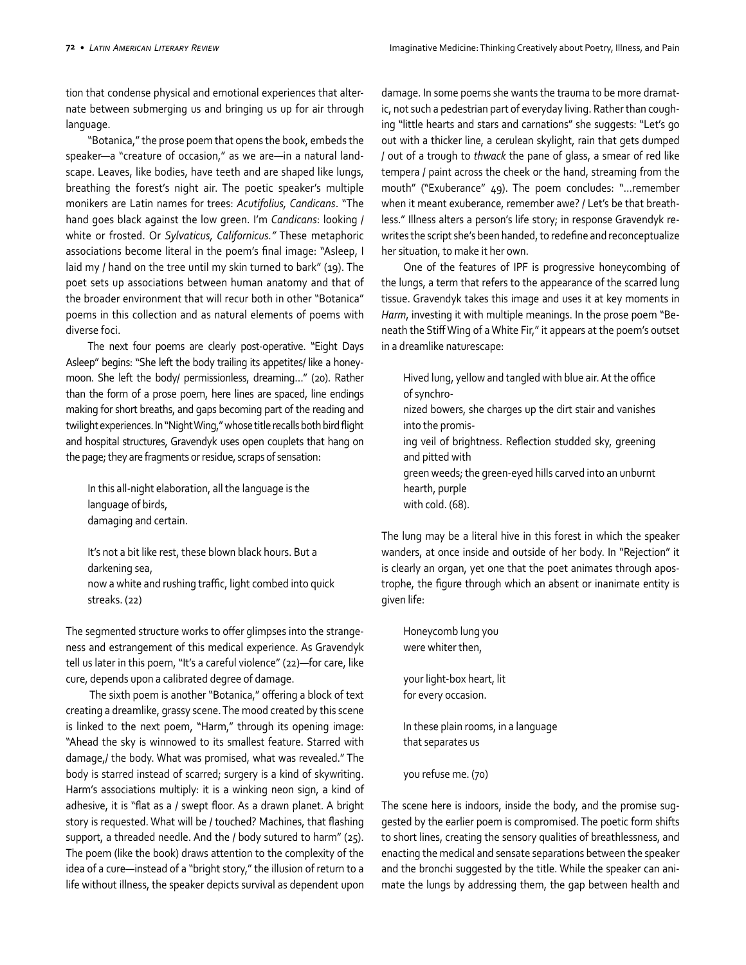tion that condense physical and emotional experiences that alternate between submerging us and bringing us up for air through language.

"Botanica," the prose poem that opens the book, embeds the speaker—a "creature of occasion," as we are—in a natural landscape. Leaves, like bodies, have teeth and are shaped like lungs, breathing the forest's night air. The poetic speaker's multiple monikers are Latin names for trees: *Acutifolius, Candicans*. "The hand goes black against the low green. I'm *Candicans*: looking / white or frosted. Or *Sylvaticus, Californicus."* These metaphoric associations become literal in the poem's final image: "Asleep, I laid my / hand on the tree until my skin turned to bark" (19). The poet sets up associations between human anatomy and that of the broader environment that will recur both in other "Botanica" poems in this collection and as natural elements of poems with diverse foci.

The next four poems are clearly post-operative. "Eight Days Asleep" begins: "She left the body trailing its appetites/ like a honeymoon. She left the body/ permissionless, dreaming…" (20). Rather than the form of a prose poem, here lines are spaced, line endings making for short breaths, and gaps becoming part of the reading and twilight experiences. In "Night Wing," whose title recalls both bird flight and hospital structures, Gravendyk uses open couplets that hang on the page; they are fragments or residue, scraps of sensation:

In this all-night elaboration, all the language is the language of birds, damaging and certain.

It's not a bit like rest, these blown black hours. But a darkening sea, now a white and rushing traffic, light combed into quick streaks. (22)

The segmented structure works to offer glimpses into the strangeness and estrangement of this medical experience. As Gravendyk tell us later in this poem, "It's a careful violence" (22)—for care, like cure, depends upon a calibrated degree of damage.

 The sixth poem is another "Botanica," offering a block of text creating a dreamlike, grassy scene. The mood created by this scene is linked to the next poem, "Harm," through its opening image: "Ahead the sky is winnowed to its smallest feature. Starred with damage,/ the body. What was promised, what was revealed." The body is starred instead of scarred; surgery is a kind of skywriting. Harm's associations multiply: it is a winking neon sign, a kind of adhesive, it is "flat as a / swept floor. As a drawn planet. A bright story is requested. What will be / touched? Machines, that flashing support, a threaded needle. And the / body sutured to harm" (25). The poem (like the book) draws attention to the complexity of the idea of a cure—instead of a "bright story," the illusion of return to a life without illness, the speaker depicts survival as dependent upon damage. In some poems she wants the trauma to be more dramatic, not such a pedestrian part of everyday living. Rather than coughing "little hearts and stars and carnations" she suggests: "Let's go out with a thicker line, a cerulean skylight, rain that gets dumped / out of a trough to *thwack* the pane of glass, a smear of red like tempera / paint across the cheek or the hand, streaming from the mouth" ("Exuberance" 49). The poem concludes: "…remember when it meant exuberance, remember awe? / Let's be that breathless." Illness alters a person's life story; in response Gravendyk rewrites the script she's been handed, to redefine and reconceptualize her situation, to make it her own.

One of the features of IPF is progressive honeycombing of the lungs, a term that refers to the appearance of the scarred lung tissue. Gravendyk takes this image and uses it at key moments in *Harm*, investing it with multiple meanings. In the prose poem "Beneath the Stiff Wing of a White Fir," it appears at the poem's outset in a dreamlike naturescape:

- Hived lung, yellow and tangled with blue air. At the office of synchro-
- nized bowers, she charges up the dirt stair and vanishes into the promis-
- ing veil of brightness. Reflection studded sky, greening and pitted with
- green weeds; the green-eyed hills carved into an unburnt hearth, purple
- with cold. (68).

The lung may be a literal hive in this forest in which the speaker wanders, at once inside and outside of her body. In "Rejection" it is clearly an organ, yet one that the poet animates through apostrophe, the figure through which an absent or inanimate entity is given life:

Honeycomb lung you were whiter then, your light-box heart, lit for every occasion. In these plain rooms, in a language that separates us you refuse me. (70)

The scene here is indoors, inside the body, and the promise suggested by the earlier poem is compromised. The poetic form shifts to short lines, creating the sensory qualities of breathlessness, and enacting the medical and sensate separations between the speaker and the bronchi suggested by the title. While the speaker can animate the lungs by addressing them, the gap between health and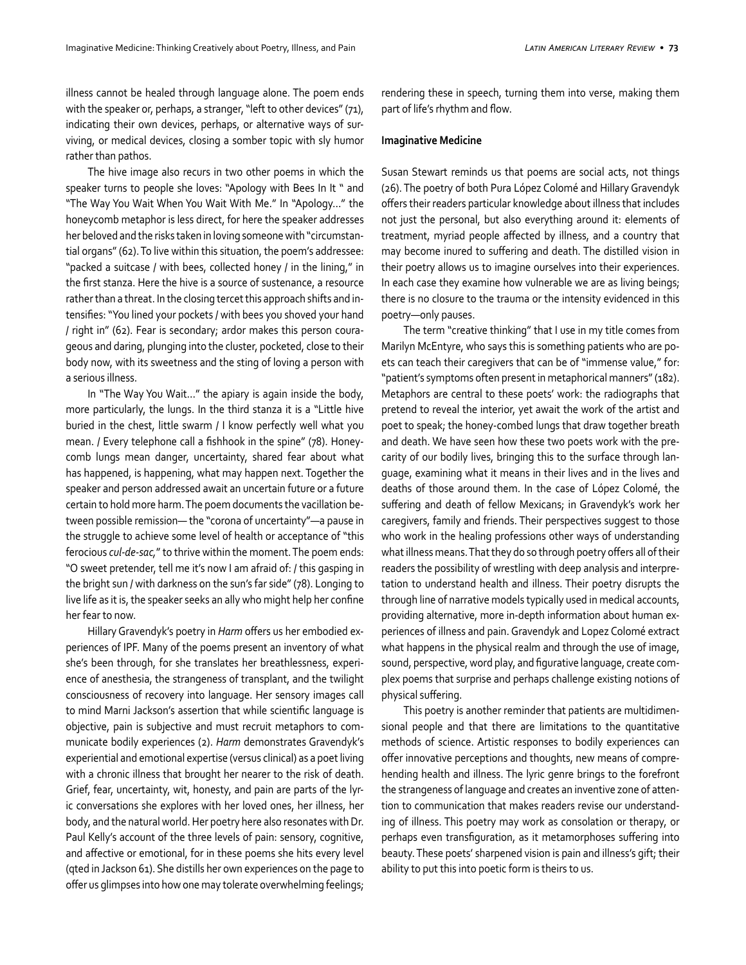illness cannot be healed through language alone. The poem ends with the speaker or, perhaps, a stranger, "left to other devices" (71), indicating their own devices, perhaps, or alternative ways of surviving, or medical devices, closing a somber topic with sly humor rather than pathos.

The hive image also recurs in two other poems in which the speaker turns to people she loves: "Apology with Bees In It " and "The Way You Wait When You Wait With Me." In "Apology…" the honeycomb metaphor is less direct, for here the speaker addresses her beloved and the risks taken in loving someone with "circumstantial organs" (62). To live within this situation, the poem's addressee: "packed a suitcase / with bees, collected honey / in the lining," in the first stanza. Here the hive is a source of sustenance, a resource rather than a threat. In the closing tercet this approach shifts and intensifies: "You lined your pockets / with bees you shoved your hand / right in" (62). Fear is secondary; ardor makes this person courageous and daring, plunging into the cluster, pocketed, close to their body now, with its sweetness and the sting of loving a person with a serious illness.

In "The Way You Wait…" the apiary is again inside the body, more particularly, the lungs. In the third stanza it is a "Little hive buried in the chest, little swarm / I know perfectly well what you mean. / Every telephone call a fishhook in the spine" (78). Honeycomb lungs mean danger, uncertainty, shared fear about what has happened, is happening, what may happen next. Together the speaker and person addressed await an uncertain future or a future certain to hold more harm. The poem documents the vacillation between possible remission— the "corona of uncertainty"—a pause in the struggle to achieve some level of health or acceptance of "this ferocious *cul-de-sac,*" to thrive within the moment. The poem ends: "O sweet pretender, tell me it's now I am afraid of: / this gasping in the bright sun / with darkness on the sun's far side" (78). Longing to live life as it is, the speaker seeks an ally who might help her confine her fear to now.

Hillary Gravendyk's poetry in *Harm* offers us her embodied experiences of IPF. Many of the poems present an inventory of what she's been through, for she translates her breathlessness, experience of anesthesia, the strangeness of transplant, and the twilight consciousness of recovery into language. Her sensory images call to mind Marni Jackson's assertion that while scientific language is objective, pain is subjective and must recruit metaphors to communicate bodily experiences (2). *Harm* demonstrates Gravendyk's experiential and emotional expertise (versus clinical) as a poet living with a chronic illness that brought her nearer to the risk of death. Grief, fear, uncertainty, wit, honesty, and pain are parts of the lyric conversations she explores with her loved ones, her illness, her body, and the natural world. Her poetry here also resonates with Dr. Paul Kelly's account of the three levels of pain: sensory, cognitive, and affective or emotional, for in these poems she hits every level (qted in Jackson 61). She distills her own experiences on the page to offer us glimpses into how one may tolerate overwhelming feelings;

rendering these in speech, turning them into verse, making them part of life's rhythm and flow.

## **Imaginative Medicine**

Susan Stewart reminds us that poems are social acts, not things (26). The poetry of both Pura López Colomé and Hillary Gravendyk offers their readers particular knowledge about illness that includes not just the personal, but also everything around it: elements of treatment, myriad people affected by illness, and a country that may become inured to suffering and death. The distilled vision in their poetry allows us to imagine ourselves into their experiences. In each case they examine how vulnerable we are as living beings; there is no closure to the trauma or the intensity evidenced in this poetry—only pauses.

The term "creative thinking" that I use in my title comes from Marilyn McEntyre, who says this is something patients who are poets can teach their caregivers that can be of "immense value," for: "patient's symptoms often present in metaphorical manners" (182). Metaphors are central to these poets' work: the radiographs that pretend to reveal the interior, yet await the work of the artist and poet to speak; the honey-combed lungs that draw together breath and death. We have seen how these two poets work with the precarity of our bodily lives, bringing this to the surface through language, examining what it means in their lives and in the lives and deaths of those around them. In the case of López Colomé, the suffering and death of fellow Mexicans; in Gravendyk's work her caregivers, family and friends. Their perspectives suggest to those who work in the healing professions other ways of understanding what illness means. That they do so through poetry offers all of their readers the possibility of wrestling with deep analysis and interpretation to understand health and illness. Their poetry disrupts the through line of narrative models typically used in medical accounts, providing alternative, more in-depth information about human experiences of illness and pain. Gravendyk and Lopez Colomé extract what happens in the physical realm and through the use of image, sound, perspective, word play, and figurative language, create complex poems that surprise and perhaps challenge existing notions of physical suffering.

This poetry is another reminder that patients are multidimensional people and that there are limitations to the quantitative methods of science. Artistic responses to bodily experiences can offer innovative perceptions and thoughts, new means of comprehending health and illness. The lyric genre brings to the forefront the strangeness of language and creates an inventive zone of attention to communication that makes readers revise our understanding of illness. This poetry may work as consolation or therapy, or perhaps even transfiguration, as it metamorphoses suffering into beauty. These poets' sharpened vision is pain and illness's gift; their ability to put this into poetic form is theirs to us.